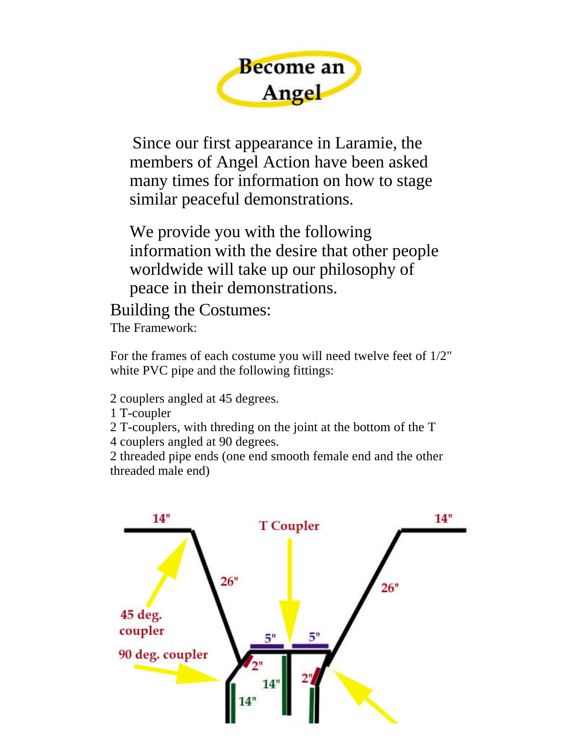

Since our first appearance in Laramie, the members of Angel Action have been asked many times for information on how to stage similar peaceful demonstrations.

We provide you with the following information with the desire that other people worldwide will take up our philosophy of peace in their demonstrations.

Building the Costumes: The Framework:

For the frames of each costume you will need twelve feet of 1/2" white PVC pipe and the following fittings:

2 couplers angled at 45 degrees.

- 1 T-coupler
- 2 T-couplers, with threding on the joint at the bottom of the T
- 4 couplers angled at 90 degrees.

2 threaded pipe ends (one end smooth female end and the other threaded male end)